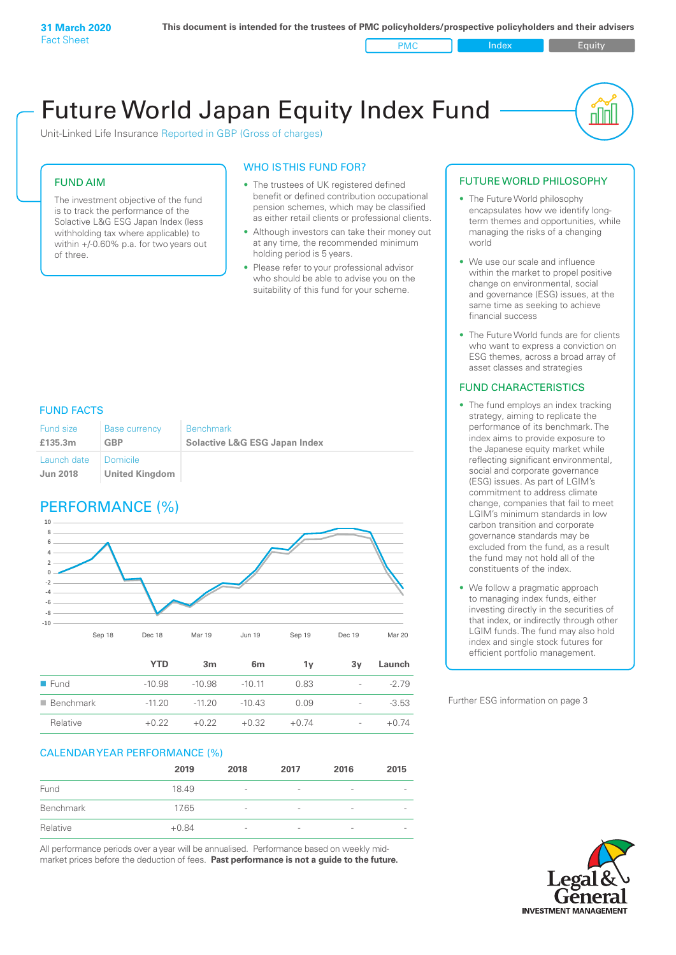PMC Index Figuity

nn

# Future World Japan Equity Index Fund

Unit-Linked Life Insurance Reported in GBP (Gross of charges)

### FUND AIM

The investment objective of the fund is to track the performance of the Solactive L&G ESG Japan Index (less withholding tax where applicable) to within +/-0.60% p.a. for two years out of three.

#### WHO IS THIS FUND FOR?

- The trustees of UK registered defined benefit or defined contribution occupational pension schemes, which may be classified as either retail clients or professional clients.
- Although investors can take their money out at any time, the recommended minimum holding period is 5 years.
- Please refer to your professional advisor who should be able to advise you on the suitability of this fund for your scheme.

#### FUND FACTS

| Fund size<br>£135.3m   | <b>Base currency</b><br>GBP | <b>Benchmark</b><br><b>Solactive L&amp;G ESG Japan Index</b> |
|------------------------|-----------------------------|--------------------------------------------------------------|
| Launch date   Domicile |                             |                                                              |
| <b>Jun 2018</b>        | <b>United Kingdom</b>       |                                                              |

### PERFORMANCE (%)



|                          | YTD      | 3m       | 6m       | 1v      | 3v                       | Launch  |
|--------------------------|----------|----------|----------|---------|--------------------------|---------|
| $\blacksquare$ Fund      | $-10.98$ | $-10.98$ | $-10.11$ | 0.83    | $\overline{\phantom{0}}$ | $-279$  |
| $\blacksquare$ Benchmark | $-11.20$ | $-11.20$ | $-10.43$ | O 0.9   | $\sim$                   | $-3.53$ |
| Relative                 | $+0.22$  | $+0.22$  | $+0.32$  | $+0.74$ | $\overline{\phantom{0}}$ | $+0.74$ |

#### CALENDAR YEAR PERFORMANCE (%)

|           | 2019    | 2018                     | 2017                     | 2016            | 2015                     |
|-----------|---------|--------------------------|--------------------------|-----------------|--------------------------|
| Fund      | 18.49   | $\overline{\phantom{a}}$ | $\overline{\phantom{0}}$ | $\qquad \qquad$ | $\overline{\phantom{a}}$ |
| Benchmark | 17.65   | $\overline{\phantom{a}}$ | $\overline{\phantom{0}}$ | $\qquad \qquad$ | $\qquad \qquad$          |
| Relative  | $+0.84$ | $\qquad \qquad$          | $\overline{\phantom{0}}$ | $\qquad \qquad$ | $\qquad \qquad$          |

All performance periods over a year will be annualised. Performance based on weekly midmarket prices before the deduction of fees. **Past performance is not a guide to the future.**

#### FUTURE WORLD PHILOSOPHY

- The Future World philosophy encapsulates how we identify longterm themes and opportunities, while managing the risks of a changing world
- We use our scale and influence within the market to propel positive change on environmental, social and governance (ESG) issues, at the same time as seeking to achieve financial success
- The Future World funds are for clients who want to express a conviction on ESG themes, across a broad array of asset classes and strategies

#### FUND CHARACTERISTICS

- The fund employs an index tracking strategy, aiming to replicate the performance of its benchmark. The index aims to provide exposure to the Japanese equity market while reflecting significant environmental, social and corporate governance (ESG) issues. As part of LGIM's commitment to address climate change, companies that fail to meet LGIM's minimum standards in low carbon transition and corporate governance standards may be excluded from the fund, as a result the fund may not hold all of the constituents of the index.
- We follow a pragmatic approach to managing index funds, either investing directly in the securities of that index, or indirectly through other LGIM funds. The fund may also hold index and single stock futures for efficient portfolio management.

Further ESG information on page 3

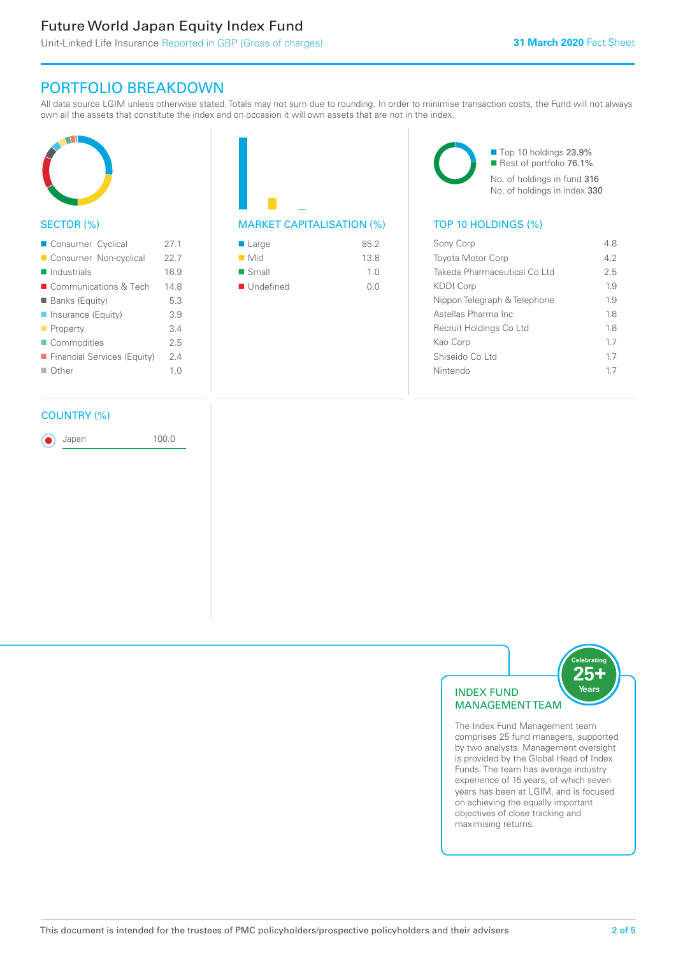# Future World Japan Equity Index Fund

# PORTFOLIO BREAKDOWN

All data source LGIM unless otherwise stated. Totals may not sum due to rounding. In order to minimise transaction costs, the Fund will not always own all the assets that constitute the index and on occasion it will own assets that are not in the index.



#### SECTOR (%)

| ■ Consumer Cyclical         | 271            |
|-----------------------------|----------------|
| Consumer Non-cyclical       | 22.7           |
| $\blacksquare$ Industrials  | 16.9           |
| ■ Communications & Tech     | 148            |
| <b>Banks (Equity)</b>       | 5.3            |
| ■ Insurance (Equity)        | 39             |
| $\blacksquare$ Property     | 34             |
| Commodities                 | 25             |
| Financial Services (Equity) | 24             |
| $\Box$ Other                | 1 <sub>0</sub> |
|                             |                |

#### COUNTRY (%)

Japan 100.0

| 85.2           |
|----------------|
| 13.8           |
| 1 <sub>0</sub> |
| 0.0            |
|                |

■ Top 10 holdings 23.9% Rest of portfolio 76.1% No. of holdings in fund 316 No. of holdings in index 330

#### MARKET CAPITALISATION (%) TOP 10 HOLDINGS (%)

| Sony Corp                    | 48 |
|------------------------------|----|
| <b>Toyota Motor Corp</b>     | 42 |
| Takeda Pharmaceutical Co Ltd | 25 |
| <b>KDDI Corp</b>             | 19 |
| Nippon Telegraph & Telephone | 19 |
| Astellas Pharma Inc          | 18 |
| Recruit Holdings Co Ltd      | 18 |
| Kao Corp                     | 17 |
| Shiseido Co Ltd              | 17 |
| Nintendo                     | 17 |
|                              |    |



The Index Fund Management team comprises 25 fund managers, supported by two analysts. Management oversight is provided by the Global Head of Index Funds. The team has average industry experience of 15 years, of which seven years has been at LGIM, and is focused on achieving the equally important objectives of close tracking and maximising returns.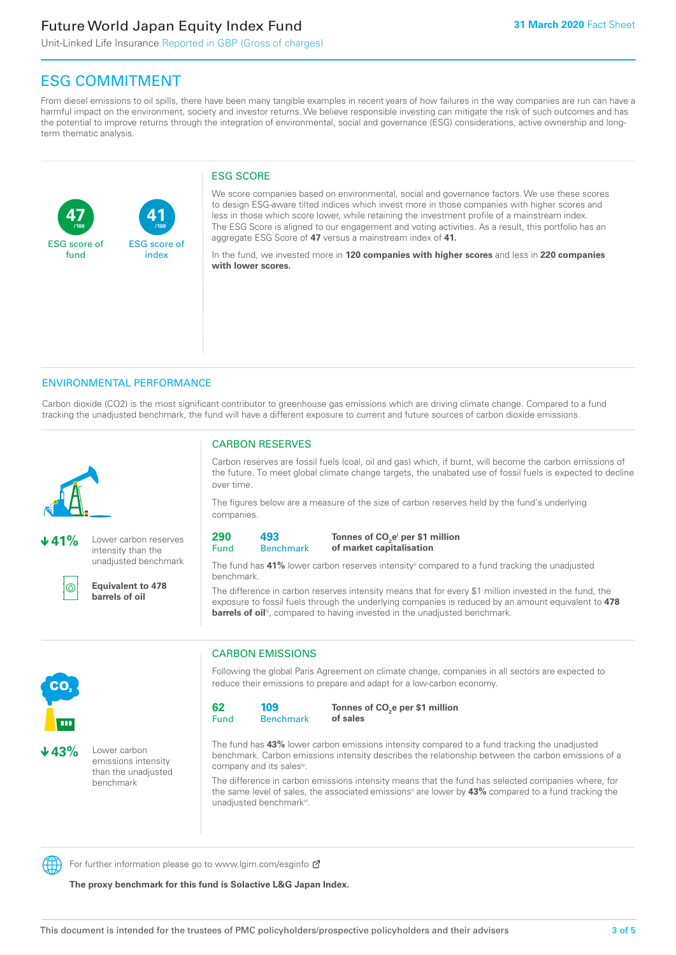# Future World Japan Equity Index Fund

**41**

ESG score of index

Unit-Linked Life Insurance Reported in GBP (Gross of charges)

## ESG COMMITMENT

**/100 /100**

From diesel emissions to oil spills, there have been many tangible examples in recent years of how failures in the way companies are run can have a harmful impact on the environment, society and investor returns. We believe responsible investing can mitigate the risk of such outcomes and has the potential to improve returns through the integration of environmental, social and governance (ESG) considerations, active ownership and longterm thematic analysis.

#### ESG SCORE

We score companies based on environmental, social and governance factors. We use these scores to design ESG-aware tilted indices which invest more in those companies with higher scores and less in those which score lower, while retaining the investment profile of a mainstream index. The ESG Score is aligned to our engagement and voting activities. As a result, this portfolio has an aggregate ESG Score of **47** versus a mainstream index of **41.**

In the fund, we invested more in **120 companies with higher scores** and less in **220 companies with lower scores.**

#### ENVIRONMENTAL PERFORMANCE

Carbon dioxide (CO2) is the most significant contributor to greenhouse gas emissions which are driving climate change. Compared to a fund tracking the unadjusted benchmark, the fund will have a different exposure to current and future sources of carbon dioxide emissions.



**47**

ESG score of fund

**41%** Lower carbon reserves intensity than the unadjusted benchmark



**Equivalent to 478 barrels of oil**

#### CARBON RESERVES

Carbon reserves are fossil fuels (coal, oil and gas) which, if burnt, will become the carbon emissions of the future. To meet global climate change targets, the unabated use of fossil fuels is expected to decline over time.

The figures below are a measure of the size of carbon reserves held by the fund's underlying companies.

| 290  | 493         |
|------|-------------|
| Fund | <b>Reno</b> |

#### **Benchmark** Tonnes of CO<sub>2</sub>e<sup>i</sup> per \$1 million **of market capitalisation**

The fund has 41% lower carbon reserves intensity<sup>ii</sup> compared to a fund tracking the unadjusted benchmark.

The difference in carbon reserves intensity means that for every \$1 million invested in the fund, the exposure to fossil fuels through the underlying companies is reduced by an amount equivalent to **478**  barrels of oil<sup>iii</sup>, compared to having invested in the unadjusted benchmark.



**43%** Lower carbon emissions intensity than the unadjusted benchmark

#### CARBON EMISSIONS

Following the global Paris Agreement on climate change, companies in all sectors are expected to reduce their emissions to prepare and adapt for a low-carbon economy.

| 62   | 109              |
|------|------------------|
| Fund | <b>Benchmark</b> |

Tonnes of CO<sub>2</sub>e per \$1 million **of sales**

The fund has **43%** lower carbon emissions intensity compared to a fund tracking the unadjusted benchmark. Carbon emissions intensity describes the relationship between the carbon emissions of a company and its sales<sup>iv</sup>.

The difference in carbon emissions intensity means that the fund has selected companies where, for the same level of sales, the associated emissions<sup>v</sup> are lower by **43%** compared to a fund tracking the unadjusted benchmark<sup>vi</sup>.



For further information please go to www.lgim.com/esginfo Ø

**The proxy benchmark for this fund is Solactive L&G Japan Index.**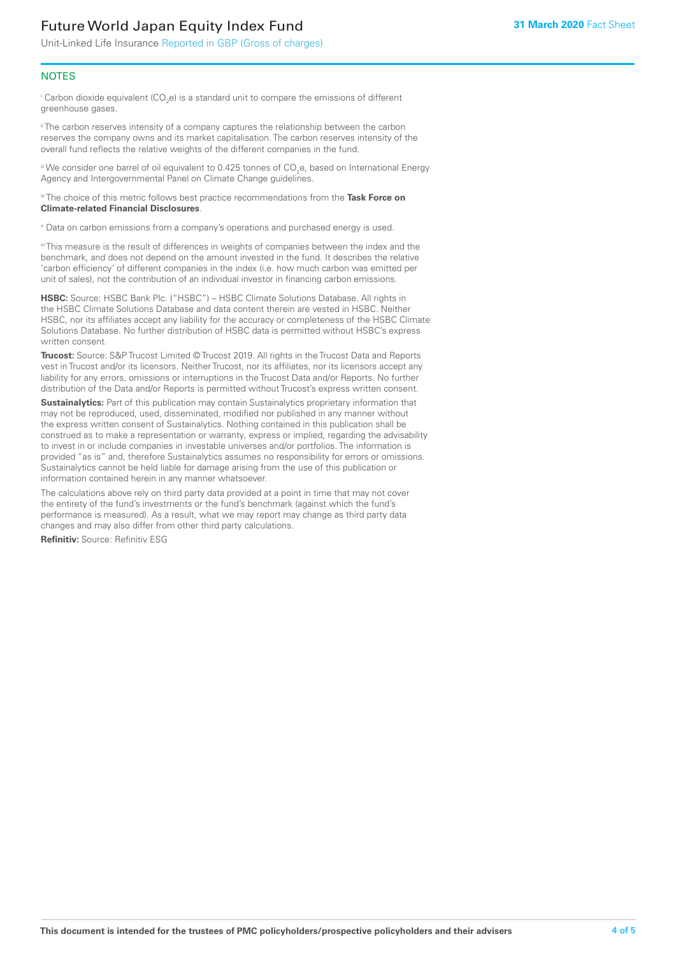# Future World Japan Equity Index Fund

Unit-Linked Life Insurance Reported in GBP (Gross of charges)

#### **NOTES**

 $^\mathrm{i}$  Carbon dioxide equivalent (CO<sub>2</sub>e) is a standard unit to compare the emissions of different greenhouse gases.

<sup>ii</sup> The carbon reserves intensity of a company captures the relationship between the carbon reserves the company owns and its market capitalisation. The carbon reserves intensity of the overall fund reflects the relative weights of the different companies in the fund.

iii We consider one barrel of oil equivalent to 0.425 tonnes of CO<sub>2</sub>e, based on International Energy Agency and Intergovernmental Panel on Climate Change guidelines.

#### iv The choice of this metric follows best practice recommendations from the **Task Force on Climate-related Financial Disclosures**.

v Data on carbon emissions from a company's operations and purchased energy is used.

vi This measure is the result of differences in weights of companies between the index and the benchmark, and does not depend on the amount invested in the fund. It describes the relative 'carbon efficiency' of different companies in the index (i.e. how much carbon was emitted per unit of sales), not the contribution of an individual investor in financing carbon emissions.

**HSBC:** Source: HSBC Bank Plc. ("HSBC") – HSBC Climate Solutions Database. All rights in the HSBC Climate Solutions Database and data content therein are vested in HSBC. Neither HSBC, nor its affiliates accept any liability for the accuracy or completeness of the HSBC Climate Solutions Database. No further distribution of HSBC data is permitted without HSBC's express written consent.

**Trucost:** Source: S&P Trucost Limited © Trucost 2019. All rights in the Trucost Data and Reports vest in Trucost and/or its licensors. Neither Trucost, nor its affiliates, nor its licensors accept any liability for any errors, omissions or interruptions in the Trucost Data and/or Reports. No further distribution of the Data and/or Reports is permitted without Trucost's express written consent.

**Sustainalytics:** Part of this publication may contain Sustainalytics proprietary information that may not be reproduced, used, disseminated, modified nor published in any manner without the express written consent of Sustainalytics. Nothing contained in this publication shall be construed as to make a representation or warranty, express or implied, regarding the advisability to invest in or include companies in investable universes and/or portfolios. The information is provided "as is" and, therefore Sustainalytics assumes no responsibility for errors or omissions. Sustainalytics cannot be held liable for damage arising from the use of this publication or information contained herein in any manner whatsoever.

The calculations above rely on third party data provided at a point in time that may not cover the entirety of the fund's investments or the fund's benchmark (against which the fund's performance is measured). As a result, what we may report may change as third party data changes and may also differ from other third party calculations.

**Refinitiv:** Source: Refinitiv ESG